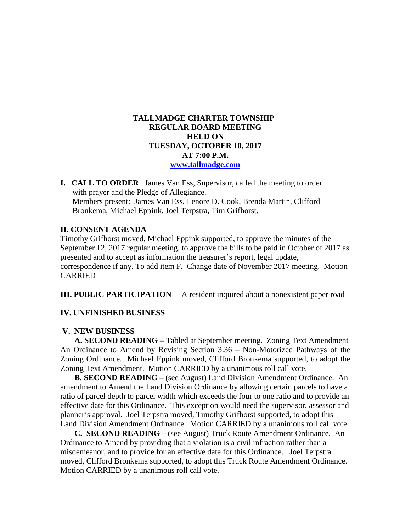### **TALLMADGE CHARTER TOWNSHIP REGULAR BOARD MEETING HELD ON TUESDAY, OCTOBER 10, 2017 AT 7:00 P.M. [www.tallmadge.com](http://www.tallmadge.com/)**

**I. CALL TO ORDER** James Van Ess, Supervisor, called the meeting to order with prayer and the Pledge of Allegiance. Members present: James Van Ess, Lenore D. Cook, Brenda Martin, Clifford Bronkema, Michael Eppink, Joel Terpstra, Tim Grifhorst.

#### **II. CONSENT AGENDA**

Timothy Grifhorst moved, Michael Eppink supported, to approve the minutes of the September 12, 2017 regular meeting, to approve the bills to be paid in October of 2017 as presented and to accept as information the treasurer's report, legal update, correspondence if any. To add item F. Change date of November 2017 meeting. Motion CARRIED

**III. PUBLIC PARTICIPATION** A resident inquired about a nonexistent paper road

#### **IV. UNFINISHED BUSINESS**

#### **V. NEW BUSINESS**

 **A. SECOND READING –** Tabled at September meeting. Zoning Text Amendment An Ordinance to Amend by Revising Section 3.36 – Non-Motorized Pathways of the Zoning Ordinance. Michael Eppink moved, Clifford Bronkema supported, to adopt the Zoning Text Amendment. Motion CARRIED by a unanimous roll call vote.

**B. SECOND READING** – (see August) Land Division Amendment Ordinance. An amendment to Amend the Land Division Ordinance by allowing certain parcels to have a ratio of parcel depth to parcel width which exceeds the four to one ratio and to provide an effective date for this Ordinance. This exception would need the supervisor, assessor and planner's approval. Joel Terpstra moved, Timothy Grifhorst supported, to adopt this Land Division Amendment Ordinance. Motion CARRIED by a unanimous roll call vote.

 **C. SECOND READING –** (see August) Truck Route Amendment Ordinance. An Ordinance to Amend by providing that a violation is a civil infraction rather than a misdemeanor, and to provide for an effective date for this Ordinance. Joel Terpstra moved, Clifford Bronkema supported, to adopt this Truck Route Amendment Ordinance. Motion CARRIED by a unanimous roll call vote.